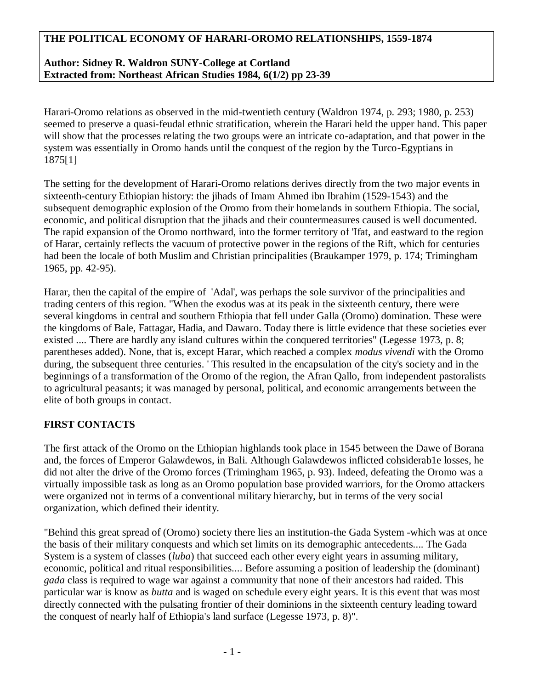## **THE POLITICAL ECONOMY OF HARARI-OROMO RELATIONSHIPS, 1559-1874**

## **Author: Sidney R. Waldron SUNY-College at Cortland Extracted from: Northeast African Studies 1984, 6(1/2) pp 23-39**

Harari-Oromo relations as observed in the mid-twentieth century (Waldron 1974, p. 293; 1980, p. 253) seemed to preserve a quasi-feudal ethnic stratification, wherein the Harari held the upper hand. This paper will show that the processes relating the two groups were an intricate co-adaptation, and that power in the system was essentially in Oromo hands until the conquest of the region by the Turco-Egyptians in 1875[1]

The setting for the development of Harari-Oromo relations derives directly from the two major events in sixteenth-century Ethiopian history: the jihads of Imam Ahmed ibn Ibrahim (1529-1543) and the subsequent demographic explosion of the Oromo from their homelands in southern Ethiopia. The social, economic, and political disruption that the jihads and their countermeasures caused is well documented. The rapid expansion of the Oromo northward, into the former territory of 'Ifat, and eastward to the region of Harar, certainly reflects the vacuum of protective power in the regions of the Rift, which for centuries had been the locale of both Muslim and Christian principalities (Braukamper 1979, p. 174; Trimingham 1965, pp. 42-95).

Harar, then the capital of the empire of 'Adal', was perhaps the sole survivor of the principalities and trading centers of this region. "When the exodus was at its peak in the sixteenth century, there were several kingdoms in central and southern Ethiopia that fell under Galla (Oromo) domination. These were the kingdoms of Bale, Fattagar, Hadia, and Dawaro. Today there is little evidence that these societies ever existed .... There are hardly any island cultures within the conquered territories" (Legesse 1973, p. 8; parentheses added). None, that is, except Harar, which reached a complex *modus vivendi* with the Oromo during, the subsequent three centuries. ' This resulted in the encapsulation of the city's society and in the beginnings of a transformation of the Oromo of the region, the Afran Qallo, from independent pastoralists to agricultural peasants; it was managed by personal, political, and economic arrangements between the elite of both groups in contact.

### **FIRST CONTACTS**

The first attack of the Oromo on the Ethiopian highlands took place in 1545 between the Dawe of Borana and, the forces of Emperor Galawdewos, in Bali. Although Galawdewos inflicted cohsiderab1e losses, he did not alter the drive of the Oromo forces (Trimingham 1965, p. 93). Indeed, defeating the Oromo was a virtually impossible task as long as an Oromo population base provided warriors, for the Oromo attackers were organized not in terms of a conventional military hierarchy, but in terms of the very social organization, which defined their identity.

"Behind this great spread of (Oromo) society there lies an institution-the Gada System -which was at once the basis of their military conquests and which set limits on its demographic antecedents.... The Gada System is a system of classes (*luba*) that succeed each other every eight years in assuming military, economic, political and ritual responsibilities.... Before assuming a position of leadership the (dominant) *gada* class is required to wage war against a community that none of their ancestors had raided. This particular war is know as *butta* and is waged on schedule every eight years. It is this event that was most directly connected with the pulsating frontier of their dominions in the sixteenth century leading toward the conquest of nearly half of Ethiopia's land surface (Legesse 1973, p. 8)".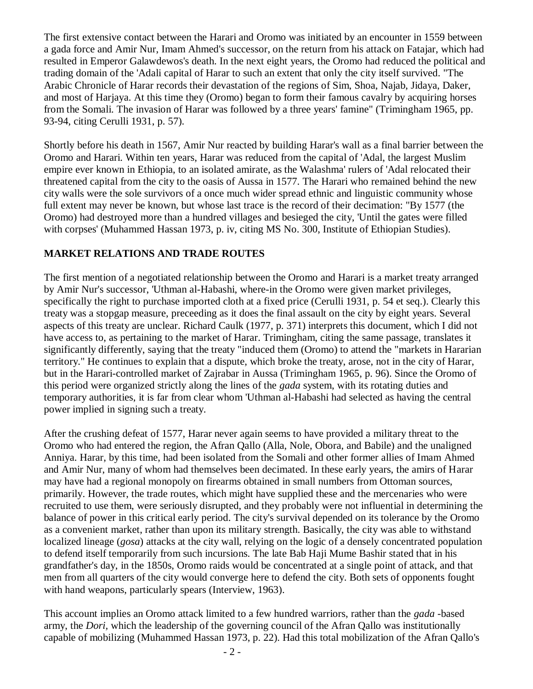The first extensive contact between the Harari and Oromo was initiated by an encounter in 1559 between a gada force and Amir Nur, Imam Ahmed's successor, on the return from his attack on Fatajar, which had resulted in Emperor Galawdewos's death. In the next eight years, the Oromo had reduced the political and trading domain of the 'Adali capital of Harar to such an extent that only the city itself survived. "The Arabic Chronicle of Harar records their devastation of the regions of Sim, Shoa, Najab, Jidaya, Daker, and most of Harjaya. At this time they (Oromo) began to form their famous cavalry by acquiring horses from the Somali. The invasion of Harar was followed by a three years' famine" (Trimingham 1965, pp. 93-94, citing Cerulli 1931, p. 57).

Shortly before his death in 1567, Amir Nur reacted by building Harar's wall as a final barrier between the Oromo and Harari. Within ten years, Harar was reduced from the capital of 'Adal, the largest Muslim empire ever known in Ethiopia, to an isolated amirate, as the Walashma' rulers of 'Adal relocated their threatened capital from the city to the oasis of Aussa in 1577. The Harari who remained behind the new city walls were the sole survivors of a once much wider spread ethnic and linguistic community whose full extent may never be known, but whose last trace is the record of their decimation: "By 1577 (the Oromo) had destroyed more than a hundred villages and besieged the city, 'Until the gates were filled with corpses' (Muhammed Hassan 1973, p. iv, citing MS No. 300, Institute of Ethiopian Studies).

# **MARKET RELATIONS AND TRADE ROUTES**

The first mention of a negotiated relationship between the Oromo and Harari is a market treaty arranged by Amir Nur's successor, 'Uthman al-Habashi, where-in the Oromo were given market privileges, specifically the right to purchase imported cloth at a fixed price (Cerulli 1931, p. 54 et seq.). Clearly this treaty was a stopgap measure, preceeding as it does the final assault on the city by eight years. Several aspects of this treaty are unclear. Richard Caulk (1977, p. 371) interprets this document, which I did not have access to, as pertaining to the market of Harar. Trimingham, citing the same passage, translates it significantly differently, saying that the treaty "induced them (Oromo) to attend the "markets in Hararian territory." He continues to explain that a dispute, which broke the treaty, arose, not in the city of Harar, but in the Harari-controlled market of Zajrabar in Aussa (Trimingham 1965, p. 96). Since the Oromo of this period were organized strictly along the lines of the *gada* system, with its rotating duties and temporary authorities, it is far from clear whom 'Uthman al-Habashi had selected as having the central power implied in signing such a treaty.

After the crushing defeat of 1577, Harar never again seems to have provided a military threat to the Oromo who had entered the region, the Afran Qallo (Alla, Nole, Obora, and Babile) and the unaligned Anniya. Harar, by this time, had been isolated from the Somali and other former allies of Imam Ahmed and Amir Nur, many of whom had themselves been decimated. In these early years, the amirs of Harar may have had a regional monopoly on firearms obtained in small numbers from Ottoman sources, primarily. However, the trade routes, which might have supplied these and the mercenaries who were recruited to use them, were seriously disrupted, and they probably were not influential in determining the balance of power in this critical early period. The city's survival depended on its tolerance by the Oromo as a convenient market, rather than upon its military strength. Basically, the city was able to withstand localized lineage (*gosa*) attacks at the city wall, relying on the logic of a densely concentrated population to defend itself temporarily from such incursions. The late Bab Haji Mume Bashir stated that in his grandfather's day, in the 1850s, Oromo raids would be concentrated at a single point of attack, and that men from all quarters of the city would converge here to defend the city. Both sets of opponents fought with hand weapons, particularly spears (Interview, 1963).

This account implies an Oromo attack limited to a few hundred warriors, rather than the *gada* -based army, the *Dori,* which the leadership of the governing council of the Afran Qallo was institutionally capable of mobilizing (Muhammed Hassan 1973, p. 22). Had this total mobilization of the Afran Qallo's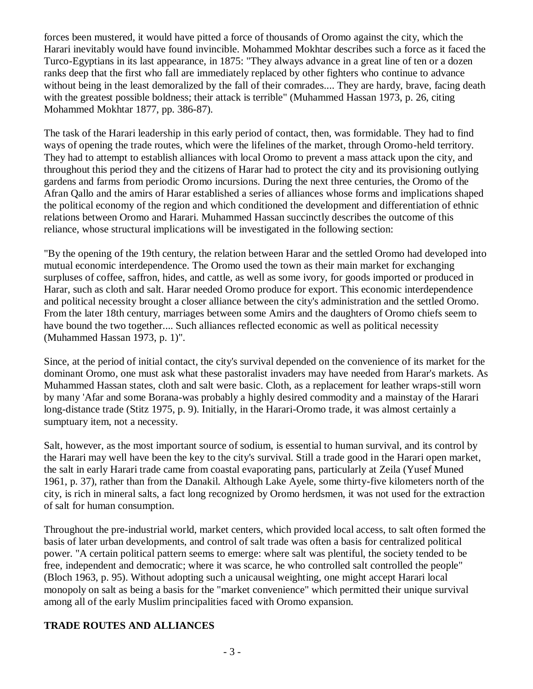forces been mustered, it would have pitted a force of thousands of Oromo against the city, which the Harari inevitably would have found invincible. Mohammed Mokhtar describes such a force as it faced the Turco-Egyptians in its last appearance, in 1875: "They always advance in a great line of ten or a dozen ranks deep that the first who fall are immediately replaced by other fighters who continue to advance without being in the least demoralized by the fall of their comrades.... They are hardy, brave, facing death with the greatest possible boldness; their attack is terrible" (Muhammed Hassan 1973, p. 26, citing Mohammed Mokhtar 1877, pp. 386-87).

The task of the Harari leadership in this early period of contact, then, was formidable. They had to find ways of opening the trade routes, which were the lifelines of the market, through Oromo-held territory. They had to attempt to establish alliances with local Oromo to prevent a mass attack upon the city, and throughout this period they and the citizens of Harar had to protect the city and its provisioning outlying gardens and farms from periodic Oromo incursions. During the next three centuries, the Oromo of the Afran Qallo and the amirs of Harar established a series of alliances whose forms and implications shaped the political economy of the region and which conditioned the development and differentiation of ethnic relations between Oromo and Harari. Muhammed Hassan succinctly describes the outcome of this reliance, whose structural implications will be investigated in the following section:

"By the opening of the 19th century, the relation between Harar and the settled Oromo had developed into mutual economic interdependence. The Oromo used the town as their main market for exchanging surpluses of coffee, saffron, hides, and cattle, as well as some ivory, for goods imported or produced in Harar, such as cloth and salt. Harar needed Oromo produce for export. This economic interdependence and political necessity brought a closer alliance between the city's administration and the settled Oromo. From the later 18th century, marriages between some Amirs and the daughters of Oromo chiefs seem to have bound the two together.... Such alliances reflected economic as well as political necessity (Muhammed Hassan 1973, p. 1)".

Since, at the period of initial contact, the city's survival depended on the convenience of its market for the dominant Oromo, one must ask what these pastoralist invaders may have needed from Harar's markets. As Muhammed Hassan states, cloth and salt were basic. Cloth, as a replacement for leather wraps-still worn by many 'Afar and some Borana-was probably a highly desired commodity and a mainstay of the Harari long-distance trade (Stitz 1975, p. 9). Initially, in the Harari-Oromo trade, it was almost certainly a sumptuary item, not a necessity.

Salt, however, as the most important source of sodium, is essential to human survival, and its control by the Harari may well have been the key to the city's survival. Still a trade good in the Harari open market, the salt in early Harari trade came from coastal evaporating pans, particularly at Zeila (Yusef Muned 1961, p. 37), rather than from the Danakil. Although Lake Ayele, some thirty-five kilometers north of the city, is rich in mineral salts, a fact long recognized by Oromo herdsmen, it was not used for the extraction of salt for human consumption.

Throughout the pre-industrial world, market centers, which provided local access, to salt often formed the basis of later urban developments, and control of salt trade was often a basis for centralized political power. "A certain political pattern seems to emerge: where salt was plentiful, the society tended to be free, independent and democratic; where it was scarce, he who controlled salt controlled the people" (Bloch 1963, p. 95). Without adopting such a unicausal weighting, one might accept Harari local monopoly on salt as being a basis for the "market convenience" which permitted their unique survival among all of the early Muslim principalities faced with Oromo expansion.

# **TRADE ROUTES AND ALLIANCES**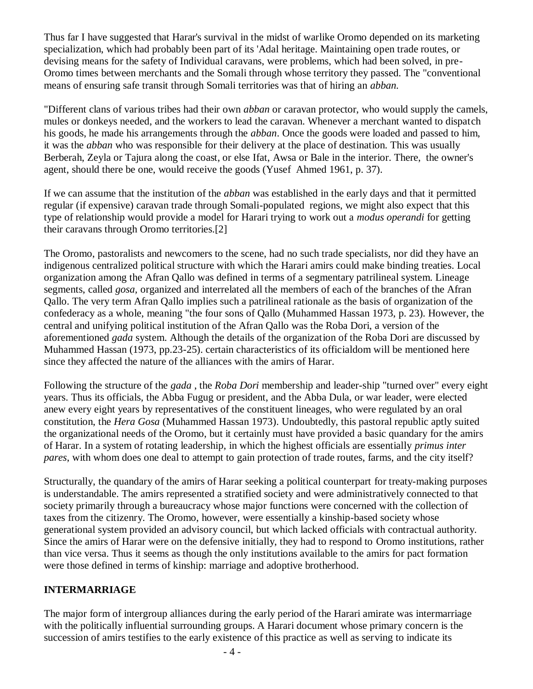Thus far I have suggested that Harar's survival in the midst of warlike Oromo depended on its marketing specialization, which had probably been part of its 'Adal heritage. Maintaining open trade routes, or devising means for the safety of Individual caravans, were problems, which had been solved, in pre-Oromo times between merchants and the Somali through whose territory they passed. The "conventional means of ensuring safe transit through Somali territories was that of hiring an *abban.*

"Different clans of various tribes had their own *abban* or caravan protector, who would supply the camels, mules or donkeys needed, and the workers to lead the caravan. Whenever a merchant wanted to dispatch his goods, he made his arrangements through the *abban*. Once the goods were loaded and passed to him, it was the *abban* who was responsible for their delivery at the place of destination. This was usually Berberah, Zeyla or Tajura along the coast, or else Ifat, Awsa or Bale in the interior. There, the owner's agent, should there be one, would receive the goods (Yusef Ahmed 1961, p. 37).

If we can assume that the institution of the *abban* was established in the early days and that it permitted regular (if expensive) caravan trade through Somali-populated regions, we might also expect that this type of relationship would provide a model for Harari trying to work out a *modus operandi* for getting their caravans through Oromo territories.[2]

The Oromo, pastoralists and newcomers to the scene, had no such trade specialists, nor did they have an indigenous centralized political structure with which the Harari amirs could make binding treaties. Local organization among the Afran Qallo was defined in terms of a segmentary patrilineal system. Lineage segments, called *gosa,* organized and interrelated all the members of each of the branches of the Afran Qallo. The very term Afran Qallo implies such a patrilineal rationale as the basis of organization of the confederacy as a whole, meaning "the four sons of Qallo (Muhammed Hassan 1973, p. 23). However, the central and unifying political institution of the Afran Qallo was the Roba Dori, a version of the aforementioned *gada* system. Although the details of the organization of the Roba Dori are discussed by Muhammed Hassan (1973, pp.23-25). certain characteristics of its officialdom will be mentioned here since they affected the nature of the alliances with the amirs of Harar.

Following the structure of the *gada* , the *Roba Dori* membership and leader-ship "turned over" every eight years. Thus its officials, the Abba Fugug or president, and the Abba Dula, or war leader, were elected anew every eight years by representatives of the constituent lineages, who were regulated by an oral constitution, the *Hera Gosa* (Muhammed Hassan 1973). Undoubtedly, this pastoral republic aptly suited the organizational needs of the Oromo, but it certainly must have provided a basic quandary for the amirs of Harar. In a system of rotating leadership, in which the highest officials are essentially *primus inter pares*, with whom does one deal to attempt to gain protection of trade routes, farms, and the city itself?

Structurally, the quandary of the amirs of Harar seeking a political counterpart for treaty-making purposes is understandable. The amirs represented a stratified society and were administratively connected to that society primarily through a bureaucracy whose major functions were concerned with the collection of taxes from the citizenry. The Oromo, however, were essentially a kinship-based society whose generational system provided an advisory council, but which lacked officials with contractual authority. Since the amirs of Harar were on the defensive initially, they had to respond to Oromo institutions, rather than vice versa. Thus it seems as though the only institutions available to the amirs for pact formation were those defined in terms of kinship: marriage and adoptive brotherhood.

### **INTERMARRIAGE**

The major form of intergroup alliances during the early period of the Harari amirate was intermarriage with the politically influential surrounding groups. A Harari document whose primary concern is the succession of amirs testifies to the early existence of this practice as well as serving to indicate its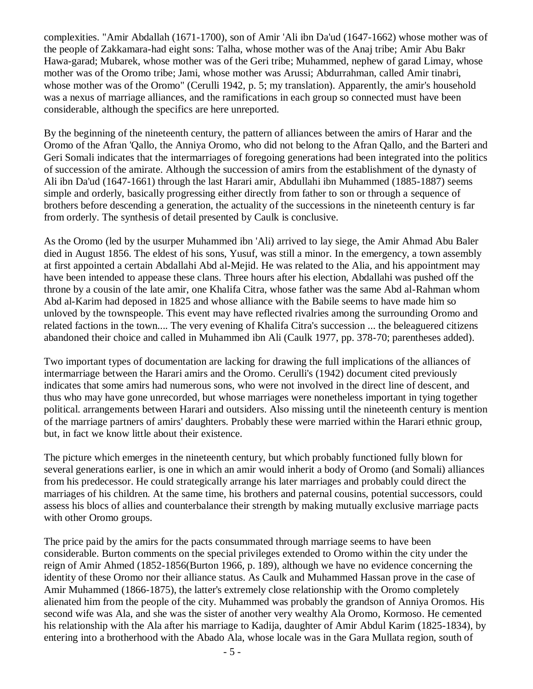complexities. "Amir Abdallah (1671-1700), son of Amir 'Ali ibn Da'ud (1647-1662) whose mother was of the people of Zakkamara-had eight sons: Talha, whose mother was of the Anaj tribe; Amir Abu Bakr Hawa-garad; Mubarek, whose mother was of the Geri tribe; Muhammed, nephew of garad Limay, whose mother was of the Oromo tribe; Jami, whose mother was Arussi; Abdurrahman, called Amir tinabri, whose mother was of the Oromo" (Cerulli 1942, p. 5; my translation). Apparently, the amir's household was a nexus of marriage alliances, and the ramifications in each group so connected must have been considerable, although the specifics are here unreported.

By the beginning of the nineteenth century, the pattern of alliances between the amirs of Harar and the Oromo of the Afran 'Qallo, the Anniya Oromo, who did not belong to the Afran Qallo, and the Barteri and Geri Somali indicates that the intermarriages of foregoing generations had been integrated into the politics of succession of the amirate. Although the succession of amirs from the establishment of the dynasty of Ali ibn Da'ud (1647-1661) through the last Harari amir, Abdullahi ibn Muhammed (1885-1887) seems simple and orderly, basically progressing either directly from father to son or through a sequence of brothers before descending a generation, the actuality of the successions in the nineteenth century is far from orderly. The synthesis of detail presented by Caulk is conclusive.

As the Oromo (led by the usurper Muhammed ibn 'Ali) arrived to lay siege, the Amir Ahmad Abu Baler died in August 1856. The eldest of his sons, Yusuf, was still a minor. In the emergency, a town assembly at first appointed a certain Abdallahi Abd al-Mejid. He was related to the Alia, and his appointment may have been intended to appease these clans. Three hours after his election, Abdallahi was pushed off the throne by a cousin of the late amir, one Khalifa Citra, whose father was the same Abd al-Rahman whom Abd al-Karim had deposed in 1825 and whose alliance with the Babile seems to have made him so unloved by the townspeople. This event may have reflected rivalries among the surrounding Oromo and related factions in the town.... The very evening of Khalifa Citra's succession ... the beleaguered citizens abandoned their choice and called in Muhammed ibn Ali (Caulk 1977, pp. 378-70; parentheses added).

Two important types of documentation are lacking for drawing the full implications of the alliances of intermarriage between the Harari amirs and the Oromo. Cerulli's (1942) document cited previously indicates that some amirs had numerous sons, who were not involved in the direct line of descent, and thus who may have gone unrecorded, but whose marriages were nonetheless important in tying together political. arrangements between Harari and outsiders. Also missing until the nineteenth century is mention of the marriage partners of amirs' daughters. Probably these were married within the Harari ethnic group, but, in fact we know little about their existence.

The picture which emerges in the nineteenth century, but which probably functioned fully blown for several generations earlier, is one in which an amir would inherit a body of Oromo (and Somali) alliances from his predecessor. He could strategically arrange his later marriages and probably could direct the marriages of his children. At the same time, his brothers and paternal cousins, potential successors, could assess his blocs of allies and counterbalance their strength by making mutually exclusive marriage pacts with other Oromo groups.

The price paid by the amirs for the pacts consummated through marriage seems to have been considerable. Burton comments on the special privileges extended to Oromo within the city under the reign of Amir Ahmed (1852-1856(Burton 1966, p. 189), although we have no evidence concerning the identity of these Oromo nor their alliance status. As Caulk and Muhammed Hassan prove in the case of Amir Muhammed (1866-1875), the latter's extremely close relationship with the Oromo completely alienated him from the people of the city. Muhammed was probably the grandson of Anniya Oromos. His second wife was Ala, and she was the sister of another very wealthy Ala Oromo, Kormoso. He cemented his relationship with the Ala after his marriage to Kadija, daughter of Amir Abdul Karim (1825-1834), by entering into a brotherhood with the Abado Ala, whose locale was in the Gara Mullata region, south of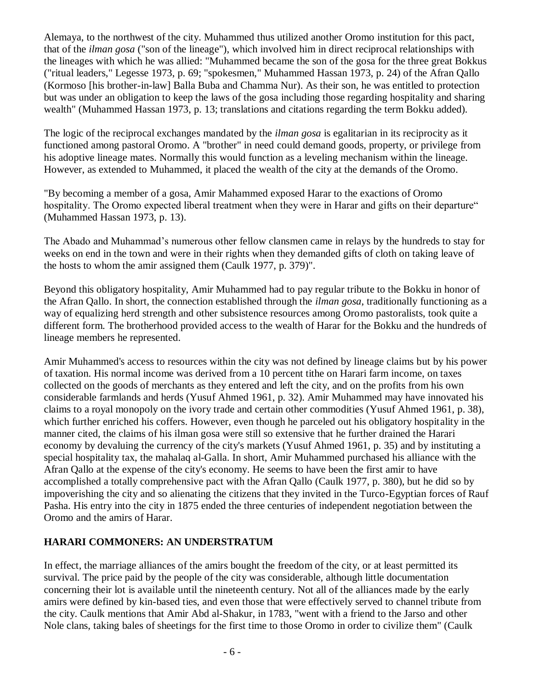Alemaya, to the northwest of the city. Muhammed thus utilized another Oromo institution for this pact, that of the *ilman gosa* ("son of the lineage"), which involved him in direct reciprocal relationships with the lineages with which he was allied: "Muhammed became the son of the gosa for the three great Bokkus ("ritual leaders," Legesse 1973, p. 69; "spokesmen," Muhammed Hassan 1973, p. 24) of the Afran Qallo (Kormoso [his brother-in-law] Balla Buba and Chamma Nur). As their son, he was entitled to protection but was under an obligation to keep the laws of the gosa including those regarding hospitality and sharing wealth" (Muhammed Hassan 1973, p. 13; translations and citations regarding the term Bokku added).

The logic of the reciprocal exchanges mandated by the *ilman gosa* is egalitarian in its reciprocity as it functioned among pastoral Oromo. A "brother" in need could demand goods, property, or privilege from his adoptive lineage mates. Normally this would function as a leveling mechanism within the lineage. However, as extended to Muhammed, it placed the wealth of the city at the demands of the Oromo.

"By becoming a member of a gosa, Amir Mahammed exposed Harar to the exactions of Oromo hospitality. The Oromo expected liberal treatment when they were in Harar and gifts on their departure" (Muhammed Hassan 1973, p. 13).

The Abado and Muhammad's numerous other fellow clansmen came in relays by the hundreds to stay for weeks on end in the town and were in their rights when they demanded gifts of cloth on taking leave of the hosts to whom the amir assigned them (Caulk 1977, p. 379)".

Beyond this obligatory hospitality, Amir Muhammed had to pay regular tribute to the Bokku in honor of the Afran Qallo. In short, the connection established through the *ilman gosa*, traditionally functioning as a way of equalizing herd strength and other subsistence resources among Oromo pastoralists, took quite a different form. The brotherhood provided access to the wealth of Harar for the Bokku and the hundreds of lineage members he represented.

Amir Muhammed's access to resources within the city was not defined by lineage claims but by his power of taxation. His normal income was derived from a 10 percent tithe on Harari farm income, on taxes collected on the goods of merchants as they entered and left the city, and on the profits from his own considerable farmlands and herds (Yusuf Ahmed 1961, p. 32). Amir Muhammed may have innovated his claims to a royal monopoly on the ivory trade and certain other commodities (Yusuf Ahmed 1961, p. 38), which further enriched his coffers. However, even though he parceled out his obligatory hospitality in the manner cited, the claims of his ilman gosa were still so extensive that he further drained the Harari economy by devaluing the currency of the city's markets (Yusuf Ahmed 1961, p. 35) and by instituting a special hospitality tax, the mahalaq al-Galla. In short, Amir Muhammed purchased his alliance with the Afran Qallo at the expense of the city's economy. He seems to have been the first amir to have accomplished a totally comprehensive pact with the Afran Qallo (Caulk 1977, p. 380), but he did so by impoverishing the city and so alienating the citizens that they invited in the Turco-Egyptian forces of Rauf Pasha. His entry into the city in 1875 ended the three centuries of independent negotiation between the Oromo and the amirs of Harar.

# **HARARI COMMONERS: AN UNDERSTRATUM**

In effect, the marriage alliances of the amirs bought the freedom of the city, or at least permitted its survival. The price paid by the people of the city was considerable, although little documentation concerning their lot is available until the nineteenth century. Not all of the alliances made by the early amirs were defined by kin-based ties, and even those that were effectively served to channel tribute from the city. Caulk mentions that Amir Abd al-Shakur, in 1783, "went with a friend to the Jarso and other Nole clans, taking bales of sheetings for the first time to those Oromo in order to civilize them" (Caulk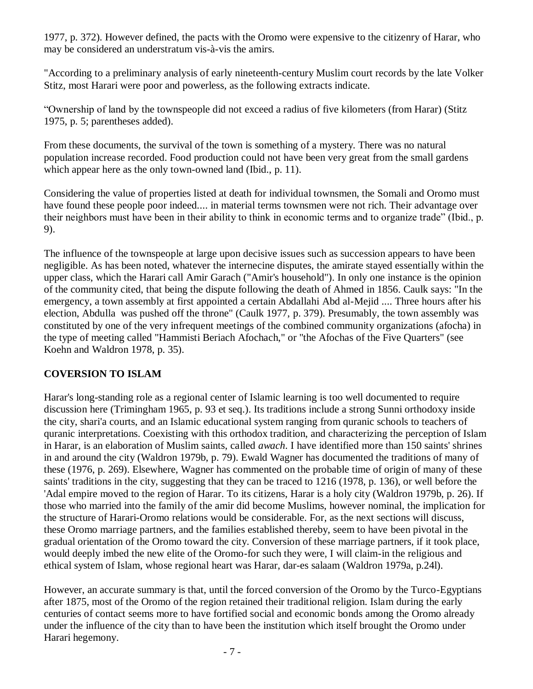1977, p. 372). However defined, the pacts with the Oromo were expensive to the citizenry of Harar, who may be considered an understratum vis-à-vis the amirs.

"According to a preliminary analysis of early nineteenth-century Muslim court records by the late Volker Stitz, most Harari were poor and powerless, as the following extracts indicate.

"Ownership of land by the townspeople did not exceed a radius of five kilometers (from Harar) (Stitz 1975, p. 5; parentheses added).

From these documents, the survival of the town is something of a mystery. There was no natural population increase recorded. Food production could not have been very great from the small gardens which appear here as the only town-owned land (Ibid., p. 11).

Considering the value of properties listed at death for individual townsmen, the Somali and Oromo must have found these people poor indeed.... in material terms townsmen were not rich. Their advantage over their neighbors must have been in their ability to think in economic terms and to organize trade" (Ibid., p. 9).

The influence of the townspeople at large upon decisive issues such as succession appears to have been negligible. As has been noted, whatever the internecine disputes, the amirate stayed essentially within the upper class, which the Harari call Amir Garach ("Amir's household"). In only one instance is the opinion of the community cited, that being the dispute following the death of Ahmed in 1856. Caulk says: "In the emergency, a town assembly at first appointed a certain Abdallahi Abd al-Mejid .... Three hours after his election, Abdulla was pushed off the throne" (Caulk 1977, p. 379). Presumably, the town assembly was constituted by one of the very infrequent meetings of the combined community organizations (afocha) in the type of meeting called "Hammisti Beriach Afochach," or "the Afochas of the Five Quarters" (see Koehn and Waldron 1978, p. 35).

# **COVERSION TO ISLAM**

Harar's long-standing role as a regional center of Islamic learning is too well documented to require discussion here (Trimingham 1965, p. 93 et seq.). Its traditions include a strong Sunni orthodoxy inside the city, shari'a courts, and an Islamic educational system ranging from quranic schools to teachers of quranic interpretations. Coexisting with this orthodox tradition, and characterizing the perception of Islam in Harar, is an elaboration of Muslim saints, called *awach*. I have identified more than 150 saints' shrines in and around the city (Waldron 1979b, p. 79). Ewald Wagner has documented the traditions of many of these (1976, p. 269). Elsewhere, Wagner has commented on the probable time of origin of many of these saints' traditions in the city, suggesting that they can be traced to 1216 (1978, p. 136), or well before the 'Adal empire moved to the region of Harar. To its citizens, Harar is a holy city (Waldron 1979b, p. 26). If those who married into the family of the amir did become Muslims, however nominal, the implication for the structure of Harari-Oromo relations would be considerable. For, as the next sections will discuss, these Oromo marriage partners, and the families established thereby, seem to have been pivotal in the gradual orientation of the Oromo toward the city. Conversion of these marriage partners, if it took place, would deeply imbed the new elite of the Oromo-for such they were, I will claim-in the religious and ethical system of Islam, whose regional heart was Harar, dar-es salaam (Waldron 1979a, p.24l).

However, an accurate summary is that, until the forced conversion of the Oromo by the Turco-Egyptians after 1875, most of the Oromo of the region retained their traditional religion. Islam during the early centuries of contact seems more to have fortified social and economic bonds among the Oromo already under the influence of the city than to have been the institution which itself brought the Oromo under Harari hegemony.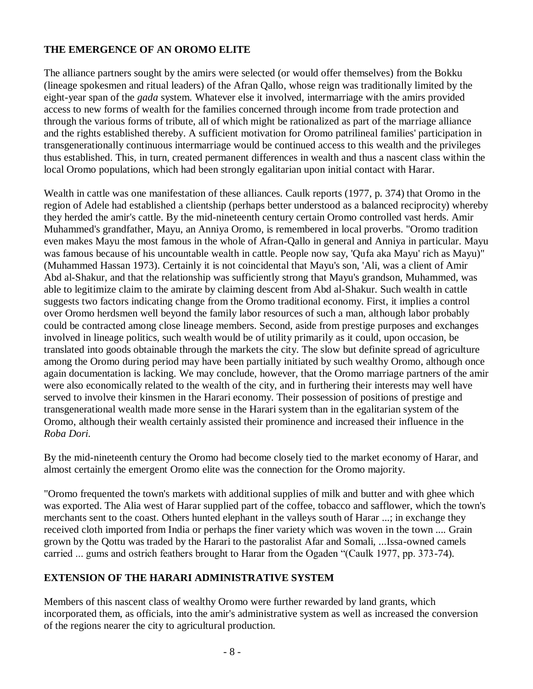### **THE EMERGENCE OF AN OROMO ELITE**

The alliance partners sought by the amirs were selected (or would offer themselves) from the Bokku (lineage spokesmen and ritual leaders) of the Afran Qallo, whose reign was traditionally limited by the eight-year span of the *gada* system. Whatever else it involved, intermarriage with the amirs provided access to new forms of wealth for the families concerned through income from trade protection and through the various forms of tribute, all of which might be rationalized as part of the marriage alliance and the rights established thereby. A sufficient motivation for Oromo patrilineal families' participation in transgenerationally continuous intermarriage would be continued access to this wealth and the privileges thus established. This, in turn, created permanent differences in wealth and thus a nascent class within the local Oromo populations, which had been strongly egalitarian upon initial contact with Harar.

Wealth in cattle was one manifestation of these alliances. Caulk reports (1977, p. 374) that Oromo in the region of Adele had established a clientship (perhaps better understood as a balanced reciprocity) whereby they herded the amir's cattle. By the mid-nineteenth century certain Oromo controlled vast herds. Amir Muhammed's grandfather, Mayu, an Anniya Oromo, is remembered in local proverbs. "Oromo tradition even makes Mayu the most famous in the whole of Afran-Qallo in general and Anniya in particular. Mayu was famous because of his uncountable wealth in cattle. People now say, 'Qufa aka Mayu' rich as Mayu)" (Muhammed Hassan 1973). Certainly it is not coincidental that Mayu's son, 'Ali, was a client of Amir Abd al-Shakur, and that the relationship was sufficiently strong that Mayu's grandson, Muhammed, was able to legitimize claim to the amirate by claiming descent from Abd al-Shakur. Such wealth in cattle suggests two factors indicating change from the Oromo traditional economy. First, it implies a control over Oromo herdsmen well beyond the family labor resources of such a man, although labor probably could be contracted among close lineage members. Second, aside from prestige purposes and exchanges involved in lineage politics, such wealth would be of utility primarily as it could, upon occasion, be translated into goods obtainable through the markets the city. The slow but definite spread of agriculture among the Oromo during period may have been partially initiated by such wealthy Oromo, although once again documentation is lacking. We may conclude, however, that the Oromo marriage partners of the amir were also economically related to the wealth of the city, and in furthering their interests may well have served to involve their kinsmen in the Harari economy. Their possession of positions of prestige and transgenerational wealth made more sense in the Harari system than in the egalitarian system of the Oromo, although their wealth certainly assisted their prominence and increased their influence in the *Roba Dori.*

By the mid-nineteenth century the Oromo had become closely tied to the market economy of Harar, and almost certainly the emergent Oromo elite was the connection for the Oromo majority.

"Oromo frequented the town's markets with additional supplies of milk and butter and with ghee which was exported. The Alia west of Harar supplied part of the coffee, tobacco and safflower, which the town's merchants sent to the coast. Others hunted elephant in the valleys south of Harar ...; in exchange they received cloth imported from India or perhaps the finer variety which was woven in the town .... Grain grown by the Qottu was traded by the Harari to the pastoralist Afar and Somali, ...Issa-owned camels carried ... gums and ostrich feathers brought to Harar from the Ogaden "(Caulk 1977, pp. 373-74).

### **EXTENSION OF THE HARARI ADMINISTRATIVE SYSTEM**

Members of this nascent class of wealthy Oromo were further rewarded by land grants, which incorporated them, as officials, into the amir's administrative system as well as increased the conversion of the regions nearer the city to agricultural production.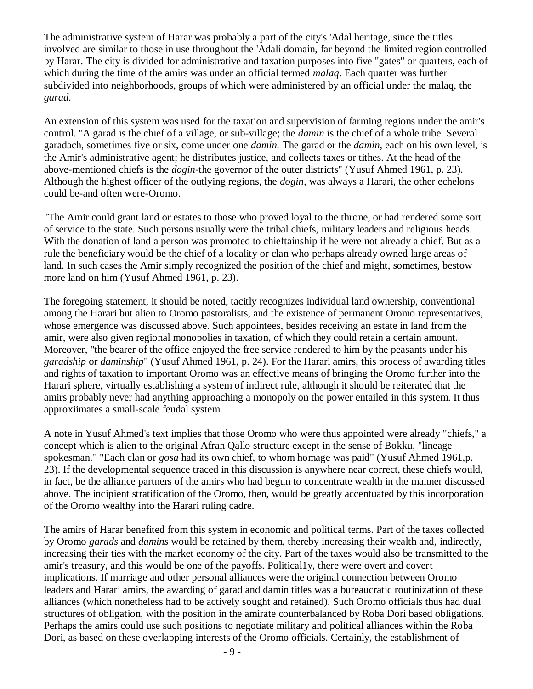The administrative system of Harar was probably a part of the city's 'Adal heritage, since the titles involved are similar to those in use throughout the 'Adali domain, far beyond the limited region controlled by Harar. The city is divided for administrative and taxation purposes into five "gates" or quarters, each of which during the time of the amirs was under an official termed *malaq*. Each quarter was further subdivided into neighborhoods, groups of which were administered by an official under the malaq, the *garad.* 

An extension of this system was used for the taxation and supervision of farming regions under the amir's control. "A garad is the chief of a village, or sub-village; the *damin* is the chief of a whole tribe. Several garadach, sometimes five or six, come under one *damin.* The garad or the *damin*, each on his own level, is the Amir's administrative agent; he distributes justice, and collects taxes or tithes. At the head of the above-mentioned chiefs is the *dogin*-the governor of the outer districts" (Yusuf Ahmed 1961, p. 23). Although the highest officer of the outlying regions, the *dogin,* was always a Harari, the other echelons could be-and often were-Oromo.

"The Amir could grant land or estates to those who proved loyal to the throne, or had rendered some sort of service to the state. Such persons usually were the tribal chiefs, military leaders and religious heads. With the donation of land a person was promoted to chieftainship if he were not already a chief. But as a rule the beneficiary would be the chief of a locality or clan who perhaps already owned large areas of land. In such cases the Amir simply recognized the position of the chief and might, sometimes, bestow more land on him (Yusuf Ahmed 1961, p. 23).

The foregoing statement, it should be noted, tacitly recognizes individual land ownership, conventional among the Harari but alien to Oromo pastoralists, and the existence of permanent Oromo representatives, whose emergence was discussed above. Such appointees, besides receiving an estate in land from the amir, were also given regional monopolies in taxation, of which they could retain a certain amount. Moreover, "the bearer of the office enjoyed the free service rendered to him by the peasants under his *garadship* or *daminship*" (Yusuf Ahmed 1961, p. 24). For the Harari amirs, this process of awarding titles and rights of taxation to important Oromo was an effective means of bringing the Oromo further into the Harari sphere, virtually establishing a system of indirect rule, although it should be reiterated that the amirs probably never had anything approaching a monopoly on the power entailed in this system. It thus approxiimates a small-scale feudal system.

A note in Yusuf Ahmed's text implies that those Oromo who were thus appointed were already "chiefs," a concept which is alien to the original Afran Qallo structure except in the sense of Bokku, "lineage spokesman." "Each clan or *gosa* had its own chief, to whom homage was paid" (Yusuf Ahmed 1961,p. 23). If the developmental sequence traced in this discussion is anywhere near correct, these chiefs would, in fact, be the alliance partners of the amirs who had begun to concentrate wealth in the manner discussed above. The incipient stratification of the Oromo, then, would be greatly accentuated by this incorporation of the Oromo wealthy into the Harari ruling cadre.

The amirs of Harar benefited from this system in economic and political terms. Part of the taxes collected by Oromo *garads* and *damins* would be retained by them, thereby increasing their wealth and, indirectly, increasing their ties with the market economy of the city. Part of the taxes would also be transmitted to the amir's treasury, and this would be one of the payoffs. Political1y, there were overt and covert implications. If marriage and other personal alliances were the original connection between Oromo leaders and Harari amirs, the awarding of garad and damin titles was a bureaucratic routinization of these alliances (which nonetheless had to be actively sought and retained). Such Oromo officials thus had dual structures of obligation, with the position in the amirate counterbalanced by Roba Dori based obligations. Perhaps the amirs could use such positions to negotiate military and political alliances within the Roba Dori, as based on these overlapping interests of the Oromo officials. Certainly, the establishment of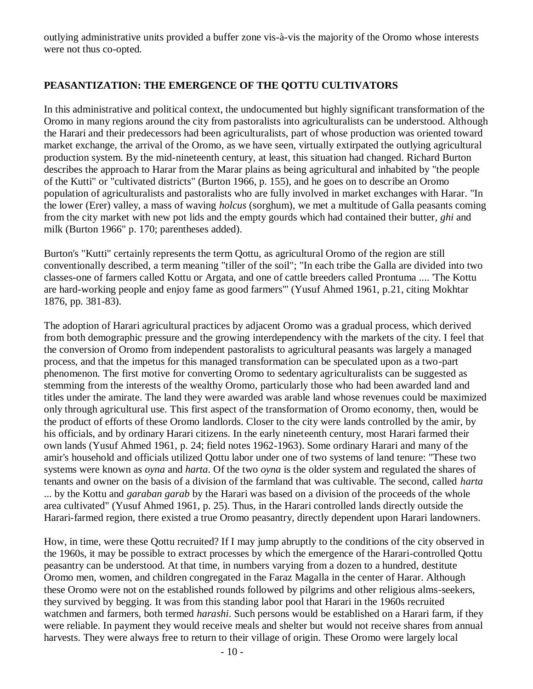outlying administrative units provided a buffer zone vis-à-vis the majority of the Oromo whose interests were not thus co-opted.

### **PEASANTIZATION: THE EMERGENCE OF THE QOTTU CULTIVATORS**

In this administrative and political context, the undocumented but highly significant transformation of the Oromo in many regions around the city from pastoralists into agriculturalists can be understood. Although the Harari and their predecessors had been agriculturalists, part of whose production was oriented toward market exchange, the arrival of the Oromo, as we have seen, virtually extirpated the outlying agricultural production system. By the mid-nineteenth century, at least, this situation had changed. Richard Burton describes the approach to Harar from the Marar plains as being agricultural and inhabited by "the people of the Kutti" or "cultivated districts" (Burton 1966, p. 155), and he goes on to describe an Oromo population of agriculturalists and pastoralists who are fully involved in market exchanges with Harar. "In the lower (Erer) valley, a mass of waving *holcus* (sorghum), we met a multitude of Galla peasants coming from the city market with new pot lids and the empty gourds which had contained their butter*, ghi* and milk (Burton 1966" p. 170; parentheses added).

Burton's "Kutti" certainly represents the term Qottu, as agricultural Oromo of the region are still conventionally described, a term meaning "tiller of the soil"; "In each tribe the Galla are divided into two classes-one of farmers called Kottu or Argata, and one of cattle breeders called Prontuma .... 'The Kottu are hard-working people and enjoy fame as good farmers'" (Yusuf Ahmed 1961, p.21, citing Mokhtar 1876, pp. 381-83).

The adoption of Harari agricultural practices by adjacent Oromo was a gradual process, which derived from both demographic pressure and the growing interdependency with the markets of the city. I feel that the conversion of Oromo from independent pastoralists to agricultural peasants was largely a managed process, and that the impetus for this managed transformation can be speculated upon as a two-part phenomenon. The first motive for converting Oromo to sedentary agriculturalists can be suggested as stemming from the interests of the wealthy Oromo, particularly those who had been awarded land and titles under the amirate. The land they were awarded was arable land whose revenues could be maximized only through agricultural use. This first aspect of the transformation of Oromo economy, then, would be the product of efforts of these Oromo landlords. Closer to the city were lands controlled by the amir, by his officials, and by ordinary Harari citizens. In the early nineteenth century, most Harari farmed their own lands (Yusuf Ahmed 1961, p. 24; field notes 1962-1963). Some ordinary Harari and many of the amir's household and officials utilized Qottu labor under one of two systems of land tenure: "These two systems were known as *oyna* and *harta*. Of the two *oyna* is the older system and regulated the shares of tenants and owner on the basis of a division of the farmland that was cultivable. The second, called *harta* ... by the Kottu and *garaban garab* by the Harari was based on a division of the proceeds of the whole area cultivated" (Yusuf Ahmed 1961, p. 25). Thus, in the Harari controlled lands directly outside the Harari-farmed region, there existed a true Oromo peasantry, directly dependent upon Harari landowners.

How, in time, were these Qottu recruited? If I may jump abruptly to the conditions of the city observed in the 1960s, it may be possible to extract processes by which the emergence of the Harari-controlled Qottu peasantry can be understood. At that time, in numbers varying from a dozen to a hundred, destitute Oromo men, women, and children congregated in the Faraz Magalla in the center of Harar. Although these Oromo were not on the established rounds followed by pilgrims and other religious alms-seekers, they survived by begging. It was from this standing labor pool that Harari in the 1960s recruited watchmen and farmers, both termed *harashi*. Such persons would be established on a Harari farm, if they were reliable. In payment they would receive meals and shelter but would not receive shares from annual harvests. They were always free to return to their village of origin. These Oromo were largely local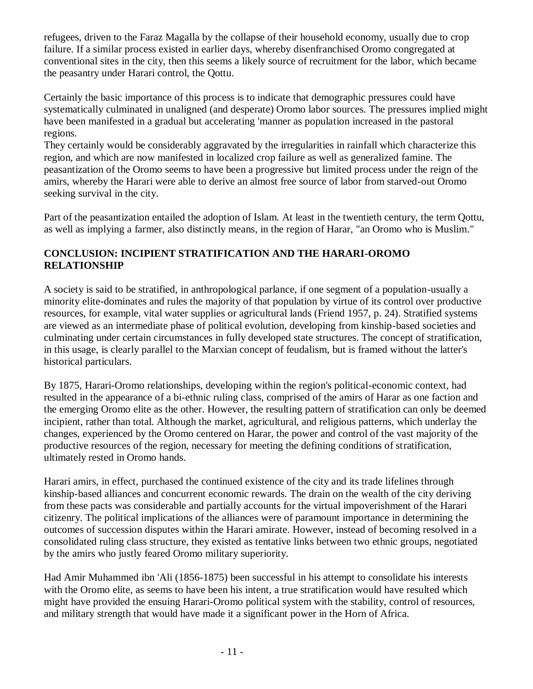refugees, driven to the Faraz Magalla by the collapse of their household economy, usually due to crop failure. If a similar process existed in earlier days, whereby disenfranchised Oromo congregated at conventional sites in the city, then this seems a likely source of recruitment for the labor, which became the peasantry under Harari control, the Qottu.

Certainly the basic importance of this process is to indicate that demographic pressures could have systematically culminated in unaligned (and desperate) Oromo labor sources. The pressures implied might have been manifested in a gradual but accelerating 'manner as population increased in the pastoral regions.

They certainly would be considerably aggravated by the irregularities in rainfall which characterize this region, and which are now manifested in localized crop failure as well as generalized famine. The peasantization of the Oromo seems to have been a progressive but limited process under the reign of the amirs, whereby the Harari were able to derive an almost free source of labor from starved-out Oromo seeking survival in the city.

Part of the peasantization entailed the adoption of Islam. At least in the twentieth century, the term Qottu, as well as implying a farmer, also distinctly means, in the region of Harar, "an Oromo who is Muslim."

# **CONCLUSION: INCIPIENT STRATIFICATION AND THE HARARI-OROMO RELATIONSHIP**

A society is said to be stratified, in anthropological parlance, if one segment of a population-usually a minority elite-dominates and rules the majority of that population by virtue of its control over productive resources, for example, vital water supplies or agricultural lands (Friend 1957, p. 24). Stratified systems are viewed as an intermediate phase of political evolution, developing from kinship-based societies and culminating under certain circumstances in fully developed state structures. The concept of stratification, in this usage, is clearly parallel to the Marxian concept of feudalism, but is framed without the latter's historical particulars.

By 1875, Harari-Oromo relationships, developing within the region's political-economic context, had resulted in the appearance of a bi-ethnic ruling class, comprised of the amirs of Harar as one faction and the emerging Oromo elite as the other. However, the resulting pattern of stratification can only be deemed incipient, rather than total. Although the market, agricultural, and religious patterns, which underlay the changes, experienced by the Oromo centered on Harar, the power and control of the vast majority of the productive resources of the region, necessary for meeting the defining conditions of stratification, ultimately rested in Oromo hands.

Harari amirs, in effect, purchased the continued existence of the city and its trade lifelines through kinship-based alliances and concurrent economic rewards. The drain on the wealth of the city deriving from these pacts was considerable and partially accounts for the virtual impoverishment of the Harari citizenry. The political implications of the alliances were of paramount importance in determining the outcomes of succession disputes within the Harari amirate. However, instead of becoming resolved in a consolidated ruling class structure, they existed as tentative links between two ethnic groups, negotiated by the amirs who justly feared Oromo military superiority.

Had Amir Muhammed ibn 'Ali (1856-1875) been successful in his attempt to consolidate his interests with the Oromo elite, as seems to have been his intent, a true stratification would have resulted which might have provided the ensuing Harari-Oromo political system with the stability, control of resources, and military strength that would have made it a significant power in the Horn of Africa.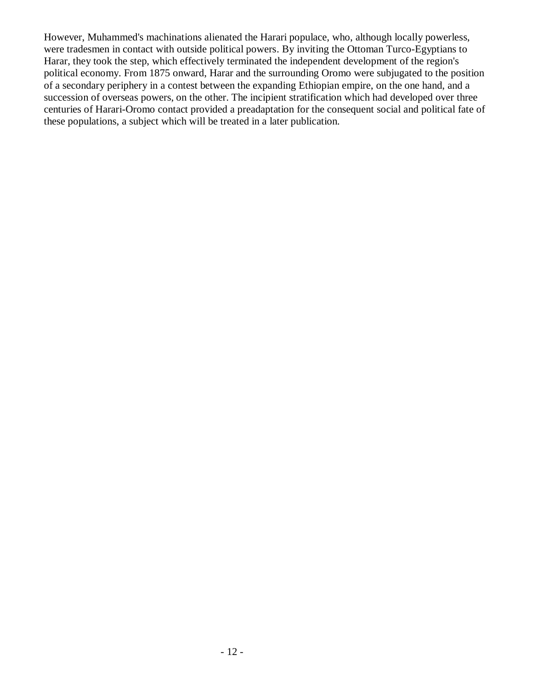However, Muhammed's machinations alienated the Harari populace, who, although locally powerless, were tradesmen in contact with outside political powers. By inviting the Ottoman Turco-Egyptians to Harar, they took the step, which effectively terminated the independent development of the region's political economy. From 1875 onward, Harar and the surrounding Oromo were subjugated to the position of a secondary periphery in a contest between the expanding Ethiopian empire, on the one hand, and a succession of overseas powers, on the other. The incipient stratification which had developed over three centuries of Harari-Oromo contact provided a preadaptation for the consequent social and political fate of these populations, a subject which will be treated in a later publication.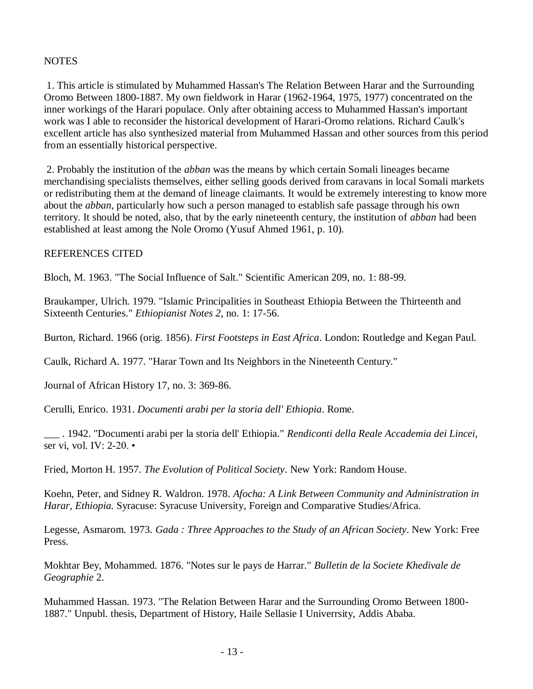#### **NOTES**

1. This article is stimulated by Muhammed Hassan's The Relation Between Harar and the Surrounding Oromo Between 1800-1887. My own fieldwork in Harar (1962-1964, 1975, 1977) concentrated on the inner workings of the Harari populace. Only after obtaining access to Muhammed Hassan's important work was I able to reconsider the historical development of Harari-Oromo relations. Richard Caulk's excellent article has also synthesized material from Muhammed Hassan and other sources from this period from an essentially historical perspective.

2. Probably the institution of the *abban* was the means by which certain Somali lineages became merchandising specialists themselves, either selling goods derived from caravans in local Somali markets or redistributing them at the demand of lineage claimants. It would be extremely interesting to know more about the *abban*, particularly how such a person managed to establish safe passage through his own territory. It should be noted, also, that by the early nineteenth century, the institution of *abban* had been established at least among the Nole Oromo (Yusuf Ahmed 1961, p. 10).

#### REFERENCES CITED

Bloch, M. 1963. "The Social Influence of Salt." Scientific American 209, no. 1: 88-99.

Braukamper, Ulrich. 1979. "Islamic Principalities in Southeast Ethiopia Between the Thirteenth and Sixteenth Centuries." *Ethiopianist Notes 2*, no. 1: 17-56.

Burton, Richard. 1966 (orig. 1856). *First Footsteps in East Africa*. London: Routledge and Kegan Paul.

Caulk, Richard A. 1977. "Harar Town and Its Neighbors in the Nineteenth Century."

Journal of African History 17, no. 3: 369-86.

Cerulli, Enrico. 1931. *Documenti arabi per la storia dell' Ethiopia*. Rome.

\_\_\_ . 1942. "Documenti arabi per la storia dell' Ethiopia." *Rendiconti della Reale Accademia dei Lincei,* ser vi, vol. IV: 2-20. •

Fried, Morton H. 1957. *The Evolution of Political Society*. New York: Random House.

Koehn, Peter, and Sidney R. Waldron. 1978. *Afocha: A Link Between Community and Administration in Harar, Ethiopia.* Syracuse: Syracuse University, Foreign and Comparative Studies/Africa.

Legesse, Asmarom. 1973. *Gada : Three Approaches to the Study of an African Society*. New York: Free Press.

Mokhtar Bey, Mohammed. 1876. "Notes sur le pays de Harrar." *Bulletin de la Societe Khedivale de Geographie* 2.

Muhammed Hassan. 1973. "The Relation Between Harar and the Surrounding Oromo Between 1800- 1887." Unpubl. thesis, Department of History, Haile Sellasie I Univerrsity, Addis Ababa.